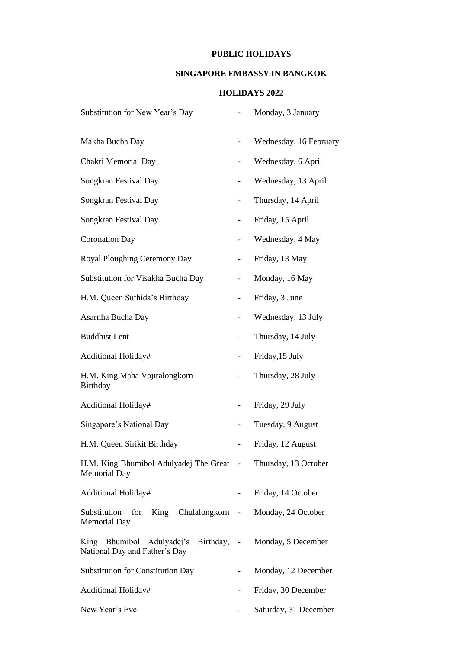## **PUBLIC HOLIDAYS**

## **SINGAPORE EMBASSY IN BANGKOK**

## **HOLIDAYS 2022**

| Substitution for New Year's Day                                                      |                          | Monday, 3 January      |
|--------------------------------------------------------------------------------------|--------------------------|------------------------|
| Makha Bucha Day                                                                      |                          | Wednesday, 16 February |
| Chakri Memorial Day                                                                  |                          | Wednesday, 6 April     |
| Songkran Festival Day                                                                |                          | Wednesday, 13 April    |
| Songkran Festival Day                                                                |                          | Thursday, 14 April     |
| Songkran Festival Day                                                                | -                        | Friday, 15 April       |
| <b>Coronation Day</b>                                                                | -                        | Wednesday, 4 May       |
| Royal Ploughing Ceremony Day                                                         |                          | Friday, 13 May         |
| Substitution for Visakha Bucha Day                                                   |                          | Monday, 16 May         |
| H.M. Queen Suthida's Birthday                                                        |                          | Friday, 3 June         |
| Asarnha Bucha Day                                                                    | $\overline{\phantom{0}}$ | Wednesday, 13 July     |
| <b>Buddhist Lent</b>                                                                 |                          | Thursday, 14 July      |
| Additional Holiday#                                                                  |                          | Friday, 15 July        |
| H.M. King Maha Vajiralongkorn<br>Birthday                                            |                          | Thursday, 28 July      |
| Additional Holiday#                                                                  | $\overline{\phantom{0}}$ | Friday, 29 July        |
| Singapore's National Day                                                             | $\overline{\phantom{a}}$ | Tuesday, 9 August      |
| H.M. Queen Sirikit Birthday                                                          |                          | Friday, 12 August      |
| H.M. King Bhumibol Adulyadej The Great - Thursday, 13 October<br><b>Memorial Day</b> |                          |                        |
| Additional Holiday#                                                                  |                          | Friday, 14 October     |
| King Chulalongkorn<br>Substitution<br>for<br><b>Memorial Day</b>                     | $\sim 100$               | Monday, 24 October     |
| Birthday, -<br>King Bhumibol Adulyadej's<br>National Day and Father's Day            |                          | Monday, 5 December     |
| <b>Substitution for Constitution Day</b>                                             |                          | Monday, 12 December    |
| Additional Holiday#                                                                  | $\overline{\phantom{0}}$ | Friday, 30 December    |
| New Year's Eve                                                                       |                          | Saturday, 31 December  |